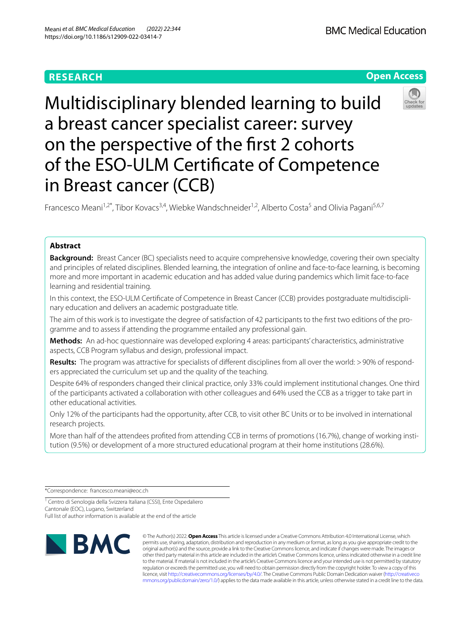# **RESEARCH**

**BMC Medical Education** 

# **Open Access**



Multidisciplinary blended learning to build a breast cancer specialist career: survey on the perspective of the frst 2 cohorts of the ESO-ULM Certifcate of Competence in Breast cancer (CCB)

Francesco Meani<sup>1,2\*</sup>, Tibor Kovacs<sup>3,4</sup>, Wiebke Wandschneider<sup>1,2</sup>, Alberto Costa<sup>5</sup> and Olivia Pagani<sup>5,6,7</sup>

# **Abstract**

**Background:** Breast Cancer (BC) specialists need to acquire comprehensive knowledge, covering their own specialty and principles of related disciplines. Blended learning, the integration of online and face-to-face learning, is becoming more and more important in academic education and has added value during pandemics which limit face-to-face learning and residential training.

In this context, the ESO-ULM Certificate of Competence in Breast Cancer (CCB) provides postgraduate multidisciplinary education and delivers an academic postgraduate title.

The aim of this work is to investigate the degree of satisfaction of 42 participants to the frst two editions of the programme and to assess if attending the programme entailed any professional gain.

**Methods:** An ad-hoc questionnaire was developed exploring 4 areas: participants' characteristics, administrative aspects, CCB Program syllabus and design, professional impact.

Results: The program was attractive for specialists of different disciplines from all over the world: >90% of responders appreciated the curriculum set up and the quality of the teaching.

Despite 64% of responders changed their clinical practice, only 33% could implement institutional changes. One third of the participants activated a collaboration with other colleagues and 64% used the CCB as a trigger to take part in other educational activities.

Only 12% of the participants had the opportunity, after CCB, to visit other BC Units or to be involved in international research projects.

More than half of the attendees profted from attending CCB in terms of promotions (16.7%), change of working institution (9.5%) or development of a more structured educational program at their home institutions (28.6%).

\*Correspondence: francesco.meani@eoc.ch

1 Centro di Senologia della Svizzera Italiana (CSSI), Ente Ospedaliero Cantonale (FOC), Lugano, Switzerland Full list of author information is available at the end of the article



© The Author(s) 2022. **Open Access** This article is licensed under a Creative Commons Attribution 4.0 International License, which permits use, sharing, adaptation, distribution and reproduction in any medium or format, as long as you give appropriate credit to the original author(s) and the source, provide a link to the Creative Commons licence, and indicate if changes were made. The images or other third party material in this article are included in the article's Creative Commons licence, unless indicated otherwise in a credit line to the material. If material is not included in the article's Creative Commons licence and your intended use is not permitted by statutory regulation or exceeds the permitted use, you will need to obtain permission directly from the copyright holder. To view a copy of this licence, visit [http://creativecommons.org/licenses/by/4.0/.](http://creativecommons.org/licenses/by/4.0/) The Creative Commons Public Domain Dedication waiver ([http://creativeco](http://creativecommons.org/publicdomain/zero/1.0/) [mmons.org/publicdomain/zero/1.0/](http://creativecommons.org/publicdomain/zero/1.0/)) applies to the data made available in this article, unless otherwise stated in a credit line to the data.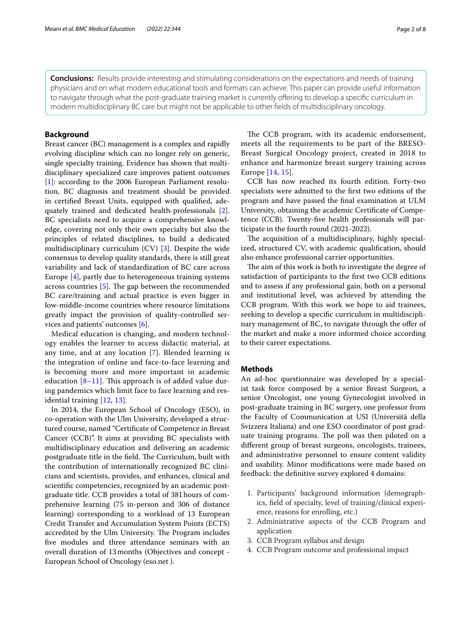**Conclusions:** Results provide interesting and stimulating considerations on the expectations and needs of training physicians and on what modern educational tools and formats can achieve. This paper can provide useful information to navigate through what the post-graduate training market is currently offering to develop a specific curriculum in modern multidisciplinary BC care but might not be applicable to other felds of multidisciplinary oncology.

# **Background**

Breast cancer (BC) management is a complex and rapidly evolving discipline which can no longer rely on generic, single specialty training. Evidence has shown that multidisciplinary specialized care improves patient outcomes [[1\]](#page-7-0): according to the 2006 European Parliament resolution, BC diagnosis and treatment should be provided in certifed Breast Units, equipped with qualifed, adequately trained and dedicated health-professionals [\[2](#page-7-1)]. BC specialists need to acquire a comprehensive knowledge, covering not only their own specialty but also the principles of related disciplines, to build a dedicated multidisciplinary curriculum (CV) [\[3](#page-7-2)]. Despite the wide consensus to develop quality standards, there is still great variability and lack of standardization of BC care across Europe [\[4\]](#page-7-3), partly due to heterogeneous training systems across countries  $[5]$  $[5]$ . The gap between the recommended BC care/training and actual practice is even bigger in low-middle-income countries where resource limitations greatly impact the provision of quality-controlled services and patients' outcomes [[6](#page-7-5)].

Medical education is changing, and modern technology enables the learner to access didactic material, at any time, and at any location [\[7](#page-7-6)]. Blended learning is the integration of online and face-to-face learning and is becoming more and more important in academic education  $[8-11]$  $[8-11]$  $[8-11]$ . This approach is of added value during pandemics which limit face to face learning and residential training [[12](#page-7-9), [13](#page-7-10)].

In 2014, the European School of Oncology (ESO), in co-operation with the Ulm University, developed a structured course, named "Certifcate of Competence in Breast Cancer (CCB)". It aims at providing BC specialists with multidisciplinary education and delivering an academic postgraduate title in the field. The Curriculum, built with the contribution of internationally recognized BC clinicians and scientists, provides, and enhances, clinical and scientifc competencies, recognized by an academic postgraduate title. CCB provides a total of 381hours of comprehensive learning (75 in-person and 306 of distance learning) corresponding to a workload of 13 European Credit Transfer and Accumulation System Points (ECTS) accredited by the Ulm University. The Program includes fve modules and three attendance seminars with an overall duration of 13months (Objectives and concept - European School of Oncology (eso.net ).

The CCB program, with its academic endorsement, meets all the requirements to be part of the BRESO-Breast Surgical Oncology project, created in 2018 to enhance and harmonize breast surgery training across Europe [[14,](#page-7-11) [15\]](#page-7-12).

CCB has now reached its fourth edition. Forty-two specialists were admitted to the frst two editions of the program and have passed the fnal examination at ULM University, obtaining the academic Certifcate of Competence (CCB). Twenty-fve health professionals will participate in the fourth round (2021-2022).

The acquisition of a multidisciplinary, highly specialized, structured CV, with academic qualifcation, should also enhance professional carrier opportunities.

The aim of this work is both to investigate the degree of satisfaction of participants to the frst two CCB editions and to assess if any professional gain, both on a personal and institutional level, was achieved by attending the CCB program. With this work we hope to aid trainees, seeking to develop a specifc curriculum in multidisciplinary management of BC, to navigate through the offer of the market and make a more informed choice according to their career expectations.

# **Methods**

An ad-hoc questionnaire was developed by a specialist task force composed by a senior Breast Surgeon, a senior Oncologist, one young Gynecologist involved in post-graduate training in BC surgery, one professor from the Faculty of Communication at USI (Università della Svizzera Italiana) and one ESO coordinator of post graduate training programs. The poll was then piloted on a diferent group of breast surgeons, oncologists, trainees, and administrative personnel to ensure content validity and usability. Minor modifcations were made based on feedback: the defnitive survey explored 4 domains:

- 1. Participants' background information (demographics, feld of specialty, level of training/clinical experience, reasons for enrolling, etc.)
- 2. Administrative aspects of the CCB Program and application
- 3. CCB Program syllabus and design
- 4. CCB Program outcome and professional impact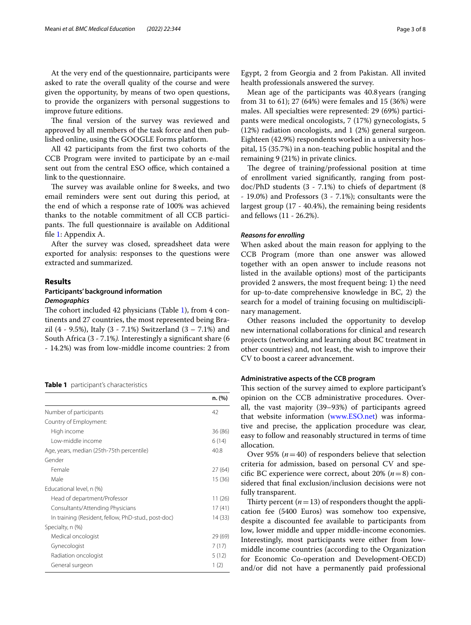At the very end of the questionnaire, participants were asked to rate the overall quality of the course and were given the opportunity, by means of two open questions, to provide the organizers with personal suggestions to improve future editions.

The final version of the survey was reviewed and approved by all members of the task force and then published online, using the GOOGLE Forms platform.

All 42 participants from the frst two cohorts of the CCB Program were invited to participate by an e-mail sent out from the central ESO office, which contained a link to the questionnaire.

The survey was available online for 8 weeks, and two email reminders were sent out during this period, at the end of which a response rate of 100% was achieved thanks to the notable commitment of all CCB participants. The full questionnaire is available on Additional fle [1](#page-6-0): Appendix A.

After the survey was closed, spreadsheet data were exported for analysis: responses to the questions were extracted and summarized.

# **Results Participants' background information**

# *Demographics*

The cohort included 42 physicians (Table  $1$ ), from 4 continents and 27 countries, the most represented being Brazil (4 - 9.5%), Italy (3 - 7.1%) Switzerland (3 – 7.1%) and South Africa (3 - 7.1%*).* Interestingly a signifcant share (6 - 14.2%) was from low-middle income countries: 2 from

<span id="page-2-0"></span>**Table 1** participant's characteristics

|                                                     | n. (%)  |
|-----------------------------------------------------|---------|
| Number of participants                              | 42      |
| Country of Employment:                              |         |
| High income                                         | 36(86)  |
| Low-middle income                                   | 6(14)   |
| Age, years, median (25th-75th percentile)           | 40.8    |
| Gender                                              |         |
| Female                                              | 27 (64) |
| Male                                                | 15(36)  |
| Educational level, n (%)                            |         |
| Head of department/Professor                        | 11(26)  |
| Consultants/Attending Physicians                    | 17(41)  |
| In training (Resident, fellow, PhD-stud., post-doc) | 14 (33) |
| Specialty, n (%)                                    |         |
| Medical oncologist                                  | 29 (69) |
| Gynecologist                                        | 7(17)   |
| Radiation oncologist                                | 5(12)   |
| General surgeon                                     | 1(2)    |

Egypt, 2 from Georgia and 2 from Pakistan. All invited health professionals answered the survey.

Mean age of the participants was 40.8 years (ranging from 31 to 61); 27 (64%) were females and 15 (36%) were males. All specialties were represented: 29 (69%) participants were medical oncologists, 7 (17%) gynecologists, 5 (12%) radiation oncologists, and 1 (2%) general surgeon. Eighteen (42.9%) respondents worked in a university hospital, 15 (35.7%) in a non-teaching public hospital and the remaining 9 (21%) in private clinics.

The degree of training/professional position at time of enrollment varied signifcantly, ranging from postdoc/PhD students (3 - 7.1%) to chiefs of department (8 - 19.0%) and Professors (3 - 7.1%); consultants were the largest group (17 - 40.4%), the remaining being residents and fellows (11 - 26.2%).

# *Reasons for enrolling*

When asked about the main reason for applying to the CCB Program (more than one answer was allowed together with an open answer to include reasons not listed in the available options) most of the participants provided 2 answers, the most frequent being: 1) the need for up-to-date comprehensive knowledge in BC, 2) the search for a model of training focusing on multidisciplinary management.

Other reasons included the opportunity to develop new international collaborations for clinical and research projects (networking and learning about BC treatment in other countries) and, not least, the wish to improve their CV to boost a career advancement.

## **Administrative aspects of the CCB program**

This section of the survey aimed to explore participant's opinion on the CCB administrative procedures. Overall, the vast majority (39–93%) of participants agreed that website information ([www.ESO.net](http://www.eso.net)) was informative and precise, the application procedure was clear, easy to follow and reasonably structured in terms of time allocation.

Over 95%  $(n=40)$  of responders believe that selection criteria for admission, based on personal CV and specifc BC experience were correct, about 20% (*n*=8) considered that fnal exclusion/inclusion decisions were not fully transparent.

Thirty percent  $(n=13)$  of responders thought the application fee (5400 Euros) was somehow too expensive, despite a discounted fee available to participants from low, lower middle and upper middle-income economies. Interestingly, most participants were either from lowmiddle income countries (according to the Organization for Economic Co-operation and Development-OECD) and/or did not have a permanently paid professional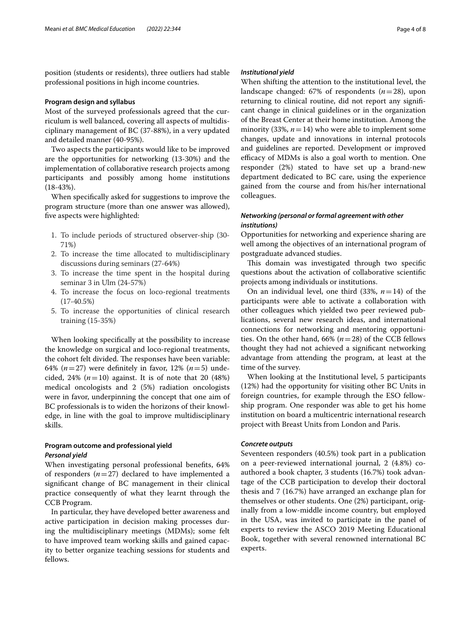position (students or residents), three outliers had stable professional positions in high income countries.

## **Program design and syllabus**

Most of the surveyed professionals agreed that the curriculum is well balanced, covering all aspects of multidisciplinary management of BC (37-88%), in a very updated and detailed manner (40-95%).

Two aspects the participants would like to be improved are the opportunities for networking (13-30%) and the implementation of collaborative research projects among participants and possibly among home institutions (18-43%).

When specifcally asked for suggestions to improve the program structure (more than one answer was allowed), fve aspects were highlighted:

- 1. To include periods of structured observer-ship (30- 71%)
- 2. To increase the time allocated to multidisciplinary discussions during seminars (27-64%)
- 3. To increase the time spent in the hospital during seminar 3 in Ulm (24-57%)
- 4. To increase the focus on loco-regional treatments (17-40.5%)
- 5. To increase the opportunities of clinical research training (15-35%)

When looking specifcally at the possibility to increase the knowledge on surgical and loco-regional treatments, the cohort felt divided. The responses have been variable: 64%  $(n=27)$  were definitely in favor, 12%  $(n=5)$  undecided, 24%  $(n=10)$  against. It is of note that 20  $(48%)$ medical oncologists and 2 (5%) radiation oncologists were in favor, underpinning the concept that one aim of BC professionals is to widen the horizons of their knowledge, in line with the goal to improve multidisciplinary skills.

# **Program outcome and professional yield** *Personal yield*

When investigating personal professional benefts, 64% of responders  $(n=27)$  declared to have implemented a signifcant change of BC management in their clinical practice consequently of what they learnt through the CCB Program.

In particular, they have developed better awareness and active participation in decision making processes during the multidisciplinary meetings (MDMs); some felt to have improved team working skills and gained capacity to better organize teaching sessions for students and fellows.

# *Institutional yield*

When shifting the attention to the institutional level, the landscape changed: 67% of respondents (*n*=28), upon returning to clinical routine, did not report any signifcant change in clinical guidelines or in the organization of the Breast Center at their home institution. Among the minority (33%,  $n = 14$ ) who were able to implement some changes, update and innovations in internal protocols and guidelines are reported. Development or improved efficacy of MDMs is also a goal worth to mention. One responder (2%) stated to have set up a brand-new department dedicated to BC care, using the experience gained from the course and from his/her international colleagues.

# *Networking (personal or formal agreement with other institutions)*

Opportunities for networking and experience sharing are well among the objectives of an international program of postgraduate advanced studies.

This domain was investigated through two specific questions about the activation of collaborative scientifc projects among individuals or institutions.

On an individual level, one third (33%, *n*=14) of the participants were able to activate a collaboration with other colleagues which yielded two peer reviewed publications, several new research ideas, and international connections for networking and mentoring opportunities. On the other hand, 66% (*n*=28) of the CCB fellows thought they had not achieved a signifcant networking advantage from attending the program, at least at the time of the survey.

When looking at the Institutional level, 5 participants (12%) had the opportunity for visiting other BC Units in foreign countries, for example through the ESO fellowship program. One responder was able to get his home institution on board a multicentric international research project with Breast Units from London and Paris.

# *Concrete outputs*

Seventeen responders (40.5%) took part in a publication on a peer-reviewed international journal, 2 (4.8%) coauthored a book chapter, 3 students (16.7%) took advantage of the CCB participation to develop their doctoral thesis and 7 (16.7%) have arranged an exchange plan for themselves or other students. One (2%) participant, originally from a low-middle income country, but employed in the USA, was invited to participate in the panel of experts to review the ASCO 2019 Meeting Educational Book, together with several renowned international BC experts.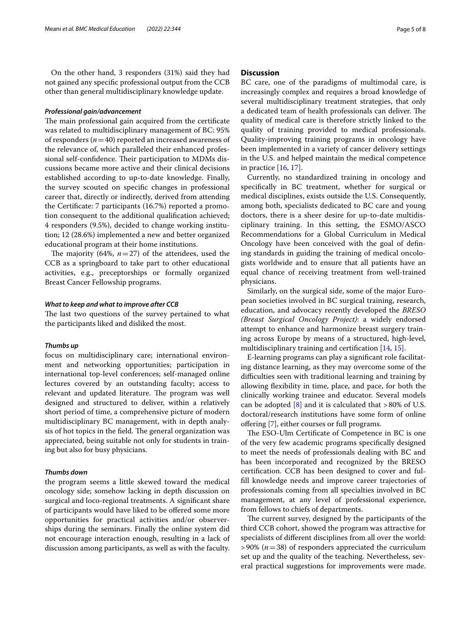On the other hand, 3 responders (31%) said they had not gained any specifc professional output from the CCB other than general multidisciplinary knowledge update.

## *Professional gain/advancement*

The main professional gain acquired from the certificate was related to multidisciplinary management of BC: 95% of responders  $(n=40)$  reported an increased awareness of the relevance of, which paralleled their enhanced professional self-confidence. Their participation to MDMs discussions became more active and their clinical decisions established according to up-to-date knowledge. Finally, the survey scouted on specifc changes in professional career that, directly or indirectly, derived from attending the Certifcate: 7 participants (16.7%) reported a promotion consequent to the additional qualifcation achieved; 4 responders (9.5%), decided to change working institution; 12 (28.6%) implemented a new and better organized educational program at their home institutions.

The majority  $(64\%, n=27)$  of the attendees, used the CCB as a springboard to take part to other educational activities, e.g., preceptorships or formally organized Breast Cancer Fellowship programs.

### *What to keep and what to improve after CCB*

The last two questions of the survey pertained to what the participants liked and disliked the most.

## *Thumbs up*

focus on multidisciplinary care; international environment and networking opportunities; participation in international top-level conferences; self-managed online lectures covered by an outstanding faculty; access to relevant and updated literature. The program was well designed and structured to deliver, within a relatively short period of time, a comprehensive picture of modern multidisciplinary BC management, with in depth analysis of hot topics in the field. The general organization was appreciated, being suitable not only for students in training but also for busy physicians.

# *Thumbs down*

the program seems a little skewed toward the medical oncology side; somehow lacking in depth discussion on surgical and loco-regional treatments. A signifcant share of participants would have liked to be ofered some more opportunities for practical activities and/or observerships during the seminars. Finally the online system did not encourage interaction enough, resulting in a lack of discussion among participants, as well as with the faculty.

# **Discussion**

BC care, one of the paradigms of multimodal care, is increasingly complex and requires a broad knowledge of several multidisciplinary treatment strategies, that only a dedicated team of health professionals can deliver. The quality of medical care is therefore strictly linked to the quality of training provided to medical professionals. Quality-improving training programs in oncology have been implemented in a variety of cancer delivery settings in the U.S. and helped maintain the medical competence in practice [\[16](#page-7-13), [17](#page-7-14)].

Currently, no standardized training in oncology and specifcally in BC treatment, whether for surgical or medical disciplines, exists outside the U.S. Consequently, among both, specialists dedicated to BC care and young doctors, there is a sheer desire for up-to-date multidisciplinary training. In this setting, the ESMO/ASCO Recommendations for a Global Curriculum in Medical Oncology have been conceived with the goal of defning standards in guiding the training of medical oncologists worldwide and to ensure that all patients have an equal chance of receiving treatment from well-trained physicians.

Similarly, on the surgical side, some of the major European societies involved in BC surgical training, research, education, and advocacy recently developed the *BRESO (Breast Surgical Oncology Project)*: a widely endorsed attempt to enhance and harmonize breast surgery training across Europe by means of a structured, high-level, multidisciplinary training and certifcation [[14,](#page-7-11) [15\]](#page-7-12).

E-learning programs can play a signifcant role facilitating distance learning, as they may overcome some of the difficulties seen with traditional learning and training by allowing fexibility in time, place, and pace, for both the clinically working trainee and educator. Several models can be adopted  $[8]$  $[8]$  and it is calculated that >80% of U.S. doctoral/research institutions have some form of online ofering [\[7](#page-7-6)], either courses or full programs.

The ESO-Ulm Certificate of Competence in BC is one of the very few academic programs specifcally designed to meet the needs of professionals dealing with BC and has been incorporated and recognized by the BRESO certifcation. CCB has been designed to cover and fulfll knowledge needs and improve career trajectories of professionals coming from all specialties involved in BC management, at any level of professional experience, from fellows to chiefs of departments.

The current survey, designed by the participants of the third CCB cohort, showed the program was attractive for specialists of diferent disciplines from all over the world: >90% (*n*=38) of responders appreciated the curriculum set up and the quality of the teaching. Nevertheless, several practical suggestions for improvements were made.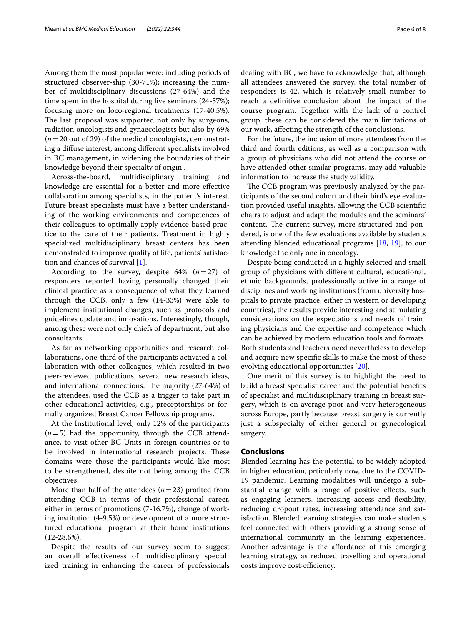Among them the most popular were: including periods of structured observer-ship (30-71%); increasing the number of multidisciplinary discussions (27-64%) and the time spent in the hospital during live seminars (24-57%); focusing more on loco-regional treatments (17-40.5%). The last proposal was supported not only by surgeons, radiation oncologists and gynaecologists but also by 69%  $(n=20 \text{ out of } 29)$  of the medical oncologists, demonstrating a difuse interest, among diferent specialists involved in BC management, in widening the boundaries of their knowledge beyond their specialty of origin .

Across-the-board, multidisciplinary training and knowledge are essential for a better and more efective collaboration among specialists, in the patient's interest. Future breast specialists must have a better understanding of the working environments and competences of their colleagues to optimally apply evidence-based practice to the care of their patients. Treatment in highly specialized multidisciplinary breast centers has been demonstrated to improve quality of life, patients' satisfaction and chances of survival [[1\]](#page-7-0).

According to the survey, despite  $64\%$   $(n=27)$  of responders reported having personally changed their clinical practice as a consequence of what they learned through the CCB, only a few (14-33%) were able to implement institutional changes, such as protocols and guidelines update and innovations. Interestingly, though, among these were not only chiefs of department, but also consultants.

As far as networking opportunities and research collaborations, one-third of the participants activated a collaboration with other colleagues, which resulted in two peer-reviewed publications, several new research ideas, and international connections. The majority  $(27-64%)$  of the attendees, used the CCB as a trigger to take part in other educational activities, e.g., preceptorships or formally organized Breast Cancer Fellowship programs.

At the Institutional level, only 12% of the participants  $(n=5)$  had the opportunity, through the CCB attendance, to visit other BC Units in foreign countries or to be involved in international research projects. These domains were those the participants would like most to be strengthened, despite not being among the CCB objectives.

More than half of the attendees  $(n=23)$  profited from attending CCB in terms of their professional career, either in terms of promotions (7-16.7%), change of working institution (4-9.5%) or development of a more structured educational program at their home institutions  $(12-28.6\%).$ 

Despite the results of our survey seem to suggest an overall efectiveness of multidisciplinary specialized training in enhancing the career of professionals dealing with BC, we have to acknowledge that, although all attendees answered the survey, the total number of responders is 42, which is relatively small number to reach a defnitive conclusion about the impact of the course program. Together with the lack of a control group, these can be considered the main limitations of our work, afecting the strength of the conclusions.

For the future, the inclusion of more attendees from the third and fourth editions, as well as a comparison with a group of physicians who did not attend the course or have attended other similar programs, may add valuable information to increase the study validity.

The CCB program was previously analyzed by the participants of the second cohort and their bird's eye evaluation provided useful insights, allowing the CCB scientifc chairs to adjust and adapt the modules and the seminars' content. The current survey, more structured and pondered, is one of the few evaluations available by students attending blended educational programs [\[18,](#page-7-15) [19](#page-7-16)], to our knowledge the only one in oncology.

Despite being conducted in a highly selected and small group of physicians with diferent cultural, educational, ethnic backgrounds, professionally active in a range of disciplines and working institutions (from university hospitals to private practice, either in western or developing countries), the results provide interesting and stimulating considerations on the expectations and needs of training physicians and the expertise and competence which can be achieved by modern education tools and formats. Both students and teachers need nevertheless to develop and acquire new specifc skills to make the most of these evolving educational opportunities [\[20](#page-7-17)].

One merit of this survey is to highlight the need to build a breast specialist career and the potential benefts of specialist and multidisciplinary training in breast surgery, which is on average poor and very heterogeneous across Europe, partly because breast surgery is currently just a subspecialty of either general or gynecological surgery.

# **Conclusions**

Blended learning has the potential to be widely adopted in higher education, prticularly now, due to the COVID-19 pandemic. Learning modalities will undergo a substantial change with a range of positive efects, such as engaging learners, increasing access and fexibility, reducing dropout rates, increasing attendance and satisfaction. Blended learning strategies can make students feel connected with others providing a strong sense of international community in the learning experiences. Another advantage is the afordance of this emerging learning strategy, as reduced travelling and operational costs improve cost-efficiency.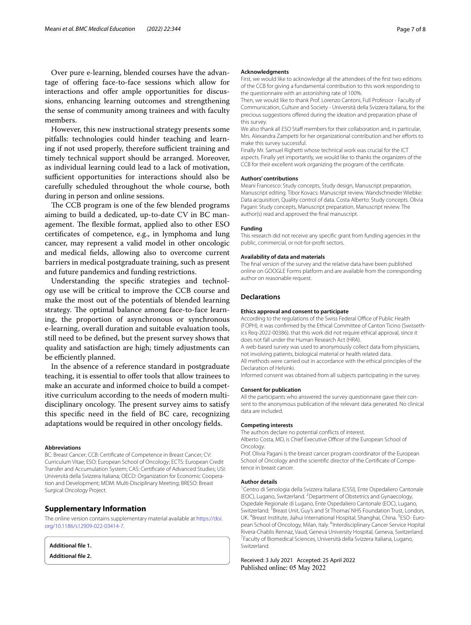Over pure e-learning, blended courses have the advantage of ofering face-to-face sessions which allow for interactions and offer ample opportunities for discussions, enhancing learning outcomes and strengthening the sense of community among trainees and with faculty members.

However, this new instructional strategy presents some pitfalls: technologies could hinder teaching and learning if not used properly, therefore sufficient training and timely technical support should be arranged. Moreover, as individual learning could lead to a lack of motivation, sufficient opportunities for interactions should also be carefully scheduled throughout the whole course, both during in person and online sessions.

The CCB program is one of the few blended programs aiming to build a dedicated, up-to-date CV in BC management. The flexible format, applied also to other ESO certifcates of competence, e.g., in lymphoma and lung cancer, may represent a valid model in other oncologic and medical felds, allowing also to overcome current barriers in medical postgraduate training, such as present and future pandemics and funding restrictions.

Understanding the specifc strategies and technology use will be critical to improve the CCB course and make the most out of the potentials of blended learning strategy. The optimal balance among face-to-face learning, the proportion of asynchronous or synchronous e-learning, overall duration and suitable evaluation tools, still need to be defned, but the present survey shows that quality and satisfaction are high; timely adjustments can be efficiently planned.

In the absence of a reference standard in postgraduate teaching, it is essential to ofer tools that allow trainees to make an accurate and informed choice to build a competitive curriculum according to the needs of modern multidisciplinary oncology. The present survey aims to satisfy this specifc need in the feld of BC care, recognizing adaptations would be required in other oncology felds.

#### **Abbreviations**

BC: Breast Cancer; CCB: Certifcate of Competence in Breast Cancer; CV: Curriculum Vitae; ESO: European School of Oncology; ECTS: European Credit Transfer and Accumulation System; CAS: Certifcate of Advanced Studies; USI: Università della Svizzera Italiana; OECD: Organization for Economic Cooperation and Development; MDM: Multi-Disciplinary Meeting; BRESO: Breast Surgical Oncology Project.

# **Supplementary Information**

The online version contains supplementary material available at [https://doi.](https://doi.org/10.1186/s12909-022-03414-7) [org/10.1186/s12909-022-03414-7](https://doi.org/10.1186/s12909-022-03414-7).

<span id="page-6-0"></span>

| Additional file 1.        |  |
|---------------------------|--|
| <b>Additional file 2.</b> |  |

#### **Acknowledgments**

First, we would like to acknowledge all the attendees of the frst two editions of the CCB for giving a fundamental contribution to this work responding to the questionnaire with an astonishing rate of 100%.

Then, we would like to thank Prof. Lorenzo Cantoni, Full Professor - Faculty of Communication, Culture and Society - Università della Svizzera Italiana, for the precious suggestions ofered during the ideation and preparation phase of this survey.

We also thank all ESO Staff members for their collaboration and, in particular, Mrs. Alexandra Zampetti for her organizational contribution and her eforts to make this survey successful.

Finally Mr. Samuel Righetti whose technical work was crucial for the ICT aspects. Finally yet importantly, we would like to thanks the organizers of the CCB for their excellent work organizing the program of the certifcate.

#### **Authors' contributions**

Meani Francesco: Study concepts, Study design, Manuscript preparation, Manuscript editing. Tibor Kovacs: Manuscript review. Wandschneider Wiebke: Data acquisition, Quality control of data. Costa Alberto: Study concepts. Olivia Pagani: Study concepts, Manuscript preparation, Manuscript review. The author(s) read and approved the fnal manuscript.

### **Funding**

This research did not receive any specifc grant from funding agencies in the public, commercial, or not-for-proft sectors.

### **Availability of data and materials**

The fnal version of the survey and the relative data have been published online on GOOGLE Forms platform and are available from the corresponding author on reasonable request.

### **Declarations**

#### **Ethics approval and consent to participate**

According to the regulations of the Swiss Federal Office of Public Health (FOPH), it was confrmed by the Ethical Committee of Canton Ticino (Swissethics Req-2022-00386). that this work did not require ethical approval, since it does not fall under the Human Research Act (HRA).

A web-based survey was used to anonymously collect data from physicians, not involving patients, biological material or health related data.

All methods were carried out in accordance with the ethical principles of the Declaration of Helsinki.

Informed consent was obtained from all subjects participating in the survey.

#### **Consent for publication**

All the participants who answered the survey questionnaire gave their consent to the anonymous publication of the relevant data generated. No clinical data are included.

#### **Competing interests**

The authors declare no potential conficts of interest. Alberto Costa, MD, is Chief Executive Officer of the European School of **Oncology** 

Prof. Olivia Pagani is the breast cancer program coordinator of the European School of Oncology and the scientific director of the Certificate of Competence in breast cancer.

#### **Author details**

<sup>1</sup> Centro di Senologia della Svizzera Italiana (CSSI), Ente Ospedaliero Cantonale (EOC), Lugano, Switzerland. 2 Department of Obstetrics and Gynaecology, Ospedale Regionale di Lugano, Ente Ospedaliero Cantonale (EOC), Lugano, Switzerland.<sup>3</sup> Breast Unit, Guy's and St Thomas' NHS Foundation Trust, London, UK. <sup>4</sup>Breast Institute, Jiahui International Hospital, Shanghai, China. <sup>5</sup>ESO- European School of Oncology, Milan, Italy. <sup>6</sup>Interdisciplinary Cancer Service Hopital Rivera-Chablis Rennaz, Vaud, Geneva University Hospital, Geneva, Switzerland. 7 Faculty of Biomedical Sciences, Università della Svizzera Italiana, Lugano, Switzerland.

Received: 3 July 2021 Accepted: 25 April 2022Published online: 05 May 2022